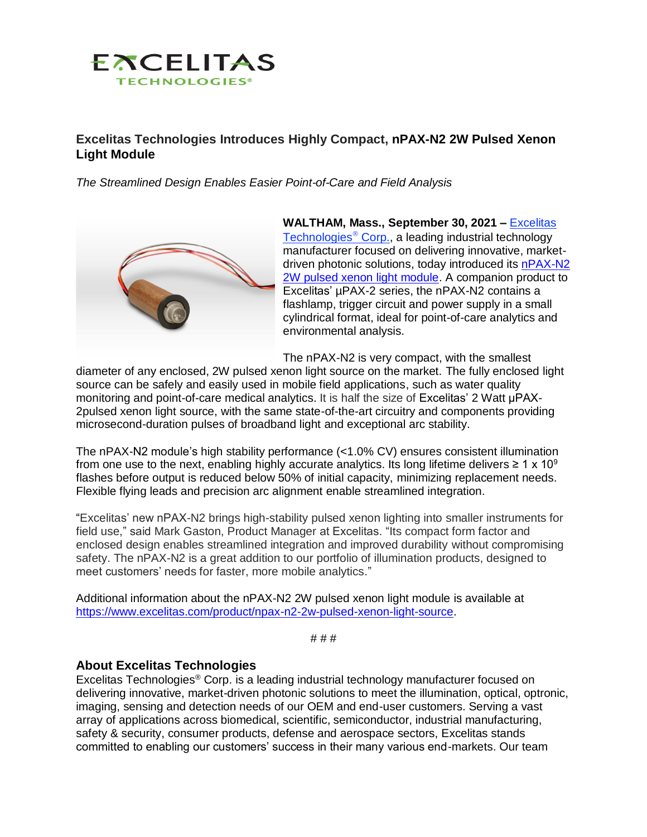

## **Excelitas Technologies Introduces Highly Compact, nPAX-N2 2W Pulsed Xenon Light Module**

*The Streamlined Design Enables Easier Point-of-Care and Field Analysis*



**WALTHAM, Mass., September 30, 2021 –** [Excelitas](https://www.excelitas.com/)  [Technologies](https://www.excelitas.com/)<sup>®</sup> Corp., a leading industrial technology manufacturer focused on delivering innovative, marketdriven photonic solutions, today introduced its [nPAX-N2](https://www.excelitas.com/product/npax-n2-2w-pulsed-xenon-light-source)  [2W pulsed xenon light module.](https://www.excelitas.com/product/npax-n2-2w-pulsed-xenon-light-source) A companion product to Excelitas' µPAX-2 series, the nPAX-N2 contains a flashlamp, trigger circuit and power supply in a small cylindrical format, ideal for point-of-care analytics and environmental analysis.

The nPAX-N2 is very compact, with the smallest

diameter of any enclosed, 2W pulsed xenon light source on the market. The fully enclosed light source can be safely and easily used in mobile field applications, such as water quality monitoring and point-of-care medical analytics. It is half the size of Excelitas' 2 Watt μPAX-2pulsed xenon light source, with the same state-of-the-art circuitry and components providing microsecond-duration pulses of broadband light and exceptional arc stability.

The nPAX-N2 module's high stability performance (<1.0% CV) ensures consistent illumination from one use to the next, enabling highly accurate analytics. Its long lifetime delivers  $\geq 1 \times 10^9$ flashes before output is reduced below 50% of initial capacity, minimizing replacement needs. Flexible flying leads and precision arc alignment enable streamlined integration.

"Excelitas' new nPAX-N2 brings high-stability pulsed xenon lighting into smaller instruments for field use," said Mark Gaston, Product Manager at Excelitas. "Its compact form factor and enclosed design enables streamlined integration and improved durability without compromising safety. The nPAX-N2 is a great addition to our portfolio of illumination products, designed to meet customers' needs for faster, more mobile analytics."

Additional information about the nPAX-N2 2W pulsed xenon light module is available at [https://www.excelitas.com/product/npax-n2-2w-pulsed-xenon-light-source.](https://www.excelitas.com/product/npax-n2-2w-pulsed-xenon-light-source)

# # #

## **About Excelitas Technologies**

Excelitas Technologies® Corp. is a leading industrial technology manufacturer focused on delivering innovative, market-driven photonic solutions to meet the illumination, optical, optronic, imaging, sensing and detection needs of our OEM and end-user customers. Serving a vast array of applications across biomedical, scientific, semiconductor, industrial manufacturing, safety & security, consumer products, defense and aerospace sectors, Excelitas stands committed to enabling our customers' success in their many various end-markets. Our team